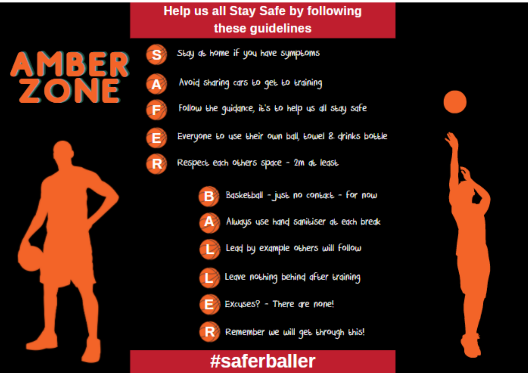### **Help us all Stay Safe by following** these quidelines



Stay at home if you have symptoms

Avoid sharing cars to get to training

Follow the guidance, it's to help us all stay safe



R

F

Everyone to use their own ball, towel 8 drinks bottle

Respect each others space - 2m at least.



Baskebball - just no contact - for now



Always use hand sanitiser at each break



Lead by example others will follow



Leave nothing behind after training



Excuses? - There are none!



Remember we will get through this!

# #saferballer

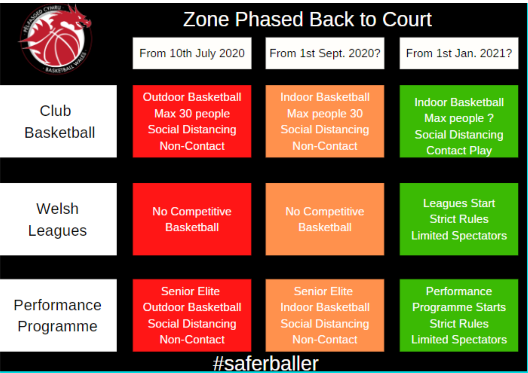|                           | <b>Zone Phased Back to Court</b>                                                                   |                                                                                            |                                                                                             |  |  |
|---------------------------|----------------------------------------------------------------------------------------------------|--------------------------------------------------------------------------------------------|---------------------------------------------------------------------------------------------|--|--|
|                           | From 10th July 2020                                                                                | From 1st Sept. 2020?                                                                       | From 1st Jan. 2021?                                                                         |  |  |
| Club<br><b>Basketball</b> | <b>Outdoor Basketball</b><br>Max 30 people<br><b>Social Distancing</b><br><b>Non-Contact</b>       | <b>Indoor Basketball</b><br>Max people 30<br><b>Social Distancing</b><br>Non-Contact       | <b>Indoor Basketball</b><br>Max people ?<br><b>Social Distancing</b><br><b>Contact Play</b> |  |  |
|                           |                                                                                                    |                                                                                            |                                                                                             |  |  |
| Welsh<br>Leagues          | No Competitive<br><b>Basketball</b>                                                                | No Competitive<br><b>Basketball</b>                                                        | <b>Leagues Start</b><br><b>Strict Rules</b><br><b>Limited Spectators</b>                    |  |  |
|                           |                                                                                                    |                                                                                            |                                                                                             |  |  |
| Performance<br>Programme  | <b>Senior Elite</b><br><b>Outdoor Basketball</b><br><b>Social Distancing</b><br><b>Non-Contact</b> | <b>Senior Elite</b><br><b>Indoor Basketball</b><br><b>Social Distancing</b><br>Non-Contact | Performance<br><b>Programme Starts</b><br><b>Strict Rules</b><br><b>Limited Spectators</b>  |  |  |
| #saferballer              |                                                                                                    |                                                                                            |                                                                                             |  |  |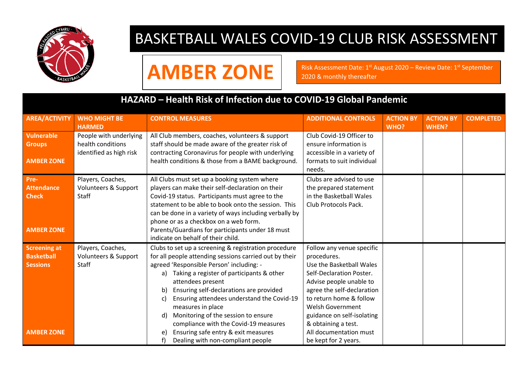

## BASKETBALL WALES COVID-19 CLUB RISK ASSESSMENT

AMBER ZONE<sup>R</sup> **ARISE ASSESSMENT DATE: 1st August 2020 – Review Date: 1st September** 

#### **HAZARD – Health Risk of Infection due to COVID-19 Global Pandemic**

| <b>AREA/ACTIVITY</b>                                                             | <b>WHO MIGHT BE</b><br><b>HARMED</b>                                   | <b>CONTROL MEASURES</b>                                                                                                                                                                                                                                                                                                                                                                                                                                                                                                           | <b>ADDITIONAL CONTROLS</b>                                                                                                                                                                                                                                                                                      | <b>ACTION BY</b><br><b>WHO?</b> | <b>ACTION BY</b><br><b>WHEN?</b> | <b>COMPLETED</b> |
|----------------------------------------------------------------------------------|------------------------------------------------------------------------|-----------------------------------------------------------------------------------------------------------------------------------------------------------------------------------------------------------------------------------------------------------------------------------------------------------------------------------------------------------------------------------------------------------------------------------------------------------------------------------------------------------------------------------|-----------------------------------------------------------------------------------------------------------------------------------------------------------------------------------------------------------------------------------------------------------------------------------------------------------------|---------------------------------|----------------------------------|------------------|
| Vulnerable<br><b>Groups</b><br><b>AMBER ZONE</b>                                 | People with underlying<br>health conditions<br>identified as high risk | All Club members, coaches, volunteers & support<br>staff should be made aware of the greater risk of<br>contracting Coronavirus for people with underlying<br>health conditions & those from a BAME background.                                                                                                                                                                                                                                                                                                                   | Club Covid-19 Officer to<br>ensure information is<br>accessible in a variety of<br>formats to suit individual<br>needs.                                                                                                                                                                                         |                                 |                                  |                  |
| Pre-<br><b>Attendance</b><br><b>Check</b><br><b>AMBER ZONE</b>                   | Players, Coaches,<br>Volunteers & Support<br>Staff                     | All Clubs must set up a booking system where<br>players can make their self-declaration on their<br>Covid-19 status. Participants must agree to the<br>statement to be able to book onto the session. This<br>can be done in a variety of ways including verbally by<br>phone or as a checkbox on a web form.<br>Parents/Guardians for participants under 18 must<br>indicate on behalf of their child.                                                                                                                           | Clubs are advised to use<br>the prepared statement<br>in the Basketball Wales<br>Club Protocols Pack.                                                                                                                                                                                                           |                                 |                                  |                  |
| <b>Screening at</b><br><b>Basketball</b><br><b>Sessions</b><br><b>AMBER ZONE</b> | Players, Coaches,<br>Volunteers & Support<br>Staff                     | Clubs to set up a screening & registration procedure<br>for all people attending sessions carried out by their<br>agreed 'Responsible Person' including: -<br>a) Taking a register of participants & other<br>attendees present<br>Ensuring self-declarations are provided<br>b)<br>Ensuring attendees understand the Covid-19<br>C)<br>measures in place<br>Monitoring of the session to ensure<br>d)<br>compliance with the Covid-19 measures<br>Ensuring safe entry & exit measures<br>e)<br>Dealing with non-compliant people | Follow any venue specific<br>procedures.<br>Use the Basketball Wales<br>Self-Declaration Poster.<br>Advise people unable to<br>agree the self-declaration<br>to return home & follow<br>Welsh Government<br>guidance on self-isolating<br>& obtaining a test.<br>All documentation must<br>be kept for 2 years. |                                 |                                  |                  |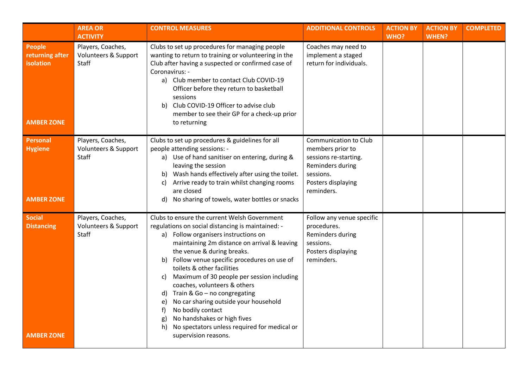|                                                             | <b>AREA OR</b><br><b>ACTIVITY</b>                  | <b>CONTROL MEASURES</b>                                                                                                                                                                                                                                                                                                                                                                                                                                                                                                                                                                                                       | <b>ADDITIONAL CONTROLS</b>                                                                                                              | <b>ACTION BY</b><br>WHO? | <b>ACTION BY</b><br><b>WHEN?</b> | <b>COMPLETED</b> |
|-------------------------------------------------------------|----------------------------------------------------|-------------------------------------------------------------------------------------------------------------------------------------------------------------------------------------------------------------------------------------------------------------------------------------------------------------------------------------------------------------------------------------------------------------------------------------------------------------------------------------------------------------------------------------------------------------------------------------------------------------------------------|-----------------------------------------------------------------------------------------------------------------------------------------|--------------------------|----------------------------------|------------------|
| People<br>returning after<br>isolation<br><b>AMBER ZONE</b> | Players, Coaches,<br>Volunteers & Support<br>Staff | Clubs to set up procedures for managing people<br>wanting to return to training or volunteering in the<br>Club after having a suspected or confirmed case of<br>Coronavirus: -<br>a) Club member to contact Club COVID-19<br>Officer before they return to basketball<br>sessions<br>Club COVID-19 Officer to advise club<br>b)<br>member to see their GP for a check-up prior<br>to returning                                                                                                                                                                                                                                | Coaches may need to<br>implement a staged<br>return for individuals.                                                                    |                          |                                  |                  |
| Personal<br><b>Hygiene</b><br><b>AMBER ZONE</b>             | Players, Coaches,<br>Volunteers & Support<br>Staff | Clubs to set up procedures & guidelines for all<br>people attending sessions: -<br>a) Use of hand sanitiser on entering, during &<br>leaving the session<br>b) Wash hands effectively after using the toilet.<br>Arrive ready to train whilst changing rooms<br>C)<br>are closed<br>No sharing of towels, water bottles or snacks<br>d)                                                                                                                                                                                                                                                                                       | Communication to Club<br>members prior to<br>sessions re-starting.<br>Reminders during<br>sessions.<br>Posters displaying<br>reminders. |                          |                                  |                  |
| Social<br><b>Distancing</b><br><b>AMBER ZONE</b>            | Players, Coaches,<br>Volunteers & Support<br>Staff | Clubs to ensure the current Welsh Government<br>regulations on social distancing is maintained: -<br>a) Follow organisers instructions on<br>maintaining 2m distance on arrival & leaving<br>the venue & during breaks.<br>b) Follow venue specific procedures on use of<br>toilets & other facilities<br>Maximum of 30 people per session including<br>C)<br>coaches, volunteers & others<br>Train & Go - no congregating<br>d)<br>No car sharing outside your household<br>e)<br>f)<br>No bodily contact<br>No handshakes or high fives<br>g)<br>No spectators unless required for medical or<br>h)<br>supervision reasons. | Follow any venue specific<br>procedures.<br>Reminders during<br>sessions.<br>Posters displaying<br>reminders.                           |                          |                                  |                  |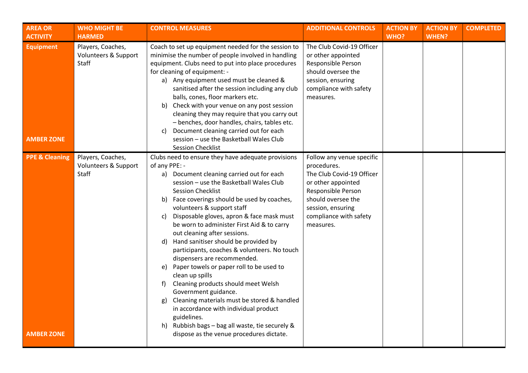| <b>AREA OR</b>                                 | <b>WHO MIGHT BE</b>                                | <b>CONTROL MEASURES</b>                                                                                                                                                                                                                                                                                                                                                                                                                                                                                                                                                                                                                                                                                                                                                                                                                                                             | <b>ADDITIONAL CONTROLS</b>                                                                                                                                                                          | <b>ACTION BY</b> | <b>ACTION BY</b> | <b>COMPLETED</b> |
|------------------------------------------------|----------------------------------------------------|-------------------------------------------------------------------------------------------------------------------------------------------------------------------------------------------------------------------------------------------------------------------------------------------------------------------------------------------------------------------------------------------------------------------------------------------------------------------------------------------------------------------------------------------------------------------------------------------------------------------------------------------------------------------------------------------------------------------------------------------------------------------------------------------------------------------------------------------------------------------------------------|-----------------------------------------------------------------------------------------------------------------------------------------------------------------------------------------------------|------------------|------------------|------------------|
| <b>ACTIVITY</b>                                | <b>HARMED</b>                                      |                                                                                                                                                                                                                                                                                                                                                                                                                                                                                                                                                                                                                                                                                                                                                                                                                                                                                     |                                                                                                                                                                                                     | WHO?             | <b>WHEN?</b>     |                  |
| <b>Equipment</b><br><b>AMBER ZONE</b>          | Players, Coaches,<br>Volunteers & Support<br>Staff | Coach to set up equipment needed for the session to<br>minimise the number of people involved in handling<br>equipment. Clubs need to put into place procedures<br>for cleaning of equipment: -<br>a) Any equipment used must be cleaned &<br>sanitised after the session including any club<br>balls, cones, floor markers etc.<br>b) Check with your venue on any post session<br>cleaning they may require that you carry out<br>- benches, door handles, chairs, tables etc.<br>Document cleaning carried out for each<br>C)<br>session - use the Basketball Wales Club                                                                                                                                                                                                                                                                                                         | The Club Covid-19 Officer<br>or other appointed<br>Responsible Person<br>should oversee the<br>session, ensuring<br>compliance with safety<br>measures.                                             |                  |                  |                  |
|                                                |                                                    | <b>Session Checklist</b>                                                                                                                                                                                                                                                                                                                                                                                                                                                                                                                                                                                                                                                                                                                                                                                                                                                            |                                                                                                                                                                                                     |                  |                  |                  |
| <b>PPE &amp; Cleaning</b><br><b>AMBER ZONE</b> | Players, Coaches,<br>Volunteers & Support<br>Staff | Clubs need to ensure they have adequate provisions<br>of any PPE: -<br>a) Document cleaning carried out for each<br>session - use the Basketball Wales Club<br><b>Session Checklist</b><br>b) Face coverings should be used by coaches,<br>volunteers & support staff<br>Disposable gloves, apron & face mask must<br>C)<br>be worn to administer First Aid & to carry<br>out cleaning after sessions.<br>d) Hand sanitiser should be provided by<br>participants, coaches & volunteers. No touch<br>dispensers are recommended.<br>e) Paper towels or paper roll to be used to<br>clean up spills<br>Cleaning products should meet Welsh<br>f)<br>Government guidance.<br>Cleaning materials must be stored & handled<br>g)<br>in accordance with individual product<br>guidelines.<br>h) Rubbish bags - bag all waste, tie securely &<br>dispose as the venue procedures dictate. | Follow any venue specific<br>procedures.<br>The Club Covid-19 Officer<br>or other appointed<br>Responsible Person<br>should oversee the<br>session, ensuring<br>compliance with safety<br>measures. |                  |                  |                  |